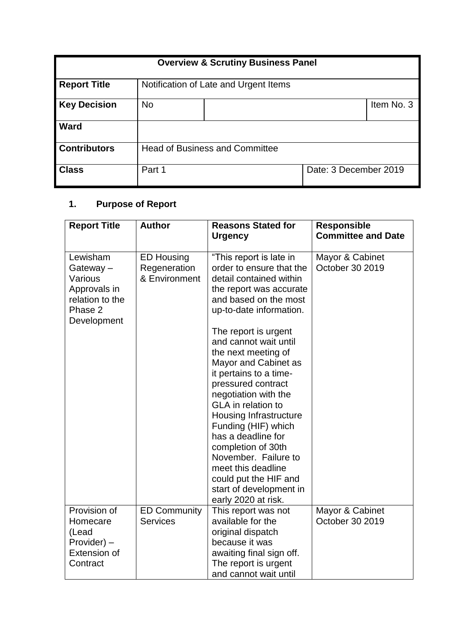| <b>Overview &amp; Scrutiny Business Panel</b> |           |                                       |                       |            |  |  |  |
|-----------------------------------------------|-----------|---------------------------------------|-----------------------|------------|--|--|--|
| <b>Report Title</b>                           |           | Notification of Late and Urgent Items |                       |            |  |  |  |
| <b>Key Decision</b>                           | <b>No</b> |                                       |                       | Item No. 3 |  |  |  |
| <b>Ward</b>                                   |           |                                       |                       |            |  |  |  |
| <b>Contributors</b>                           |           | <b>Head of Business and Committee</b> |                       |            |  |  |  |
| <b>Class</b>                                  | Part 1    |                                       | Date: 3 December 2019 |            |  |  |  |

## **1. Purpose of Report**

| <b>Report Title</b>                                                                          | <b>Author</b>                                      | <b>Reasons Stated for</b><br><b>Urgency</b>                                                                                                                                                                                                                                                                                                                                                                                                                                                                                                                                                     | <b>Responsible</b><br><b>Committee and Date</b> |
|----------------------------------------------------------------------------------------------|----------------------------------------------------|-------------------------------------------------------------------------------------------------------------------------------------------------------------------------------------------------------------------------------------------------------------------------------------------------------------------------------------------------------------------------------------------------------------------------------------------------------------------------------------------------------------------------------------------------------------------------------------------------|-------------------------------------------------|
| Lewisham<br>Gateway-<br>Various<br>Approvals in<br>relation to the<br>Phase 2<br>Development | <b>ED Housing</b><br>Regeneration<br>& Environment | "This report is late in<br>order to ensure that the<br>detail contained within<br>the report was accurate<br>and based on the most<br>up-to-date information.<br>The report is urgent<br>and cannot wait until<br>the next meeting of<br>Mayor and Cabinet as<br>it pertains to a time-<br>pressured contract<br>negotiation with the<br><b>GLA</b> in relation to<br><b>Housing Infrastructure</b><br>Funding (HIF) which<br>has a deadline for<br>completion of 30th<br>November. Failure to<br>meet this deadline<br>could put the HIF and<br>start of development in<br>early 2020 at risk. | Mayor & Cabinet<br>October 30 2019              |
| Provision of<br>Homecare<br>(Lead<br>Provider) -<br>Extension of<br>Contract                 | <b>ED Community</b><br><b>Services</b>             | This report was not<br>available for the<br>original dispatch<br>because it was<br>awaiting final sign off.<br>The report is urgent<br>and cannot wait until                                                                                                                                                                                                                                                                                                                                                                                                                                    | Mayor & Cabinet<br>October 30 2019              |